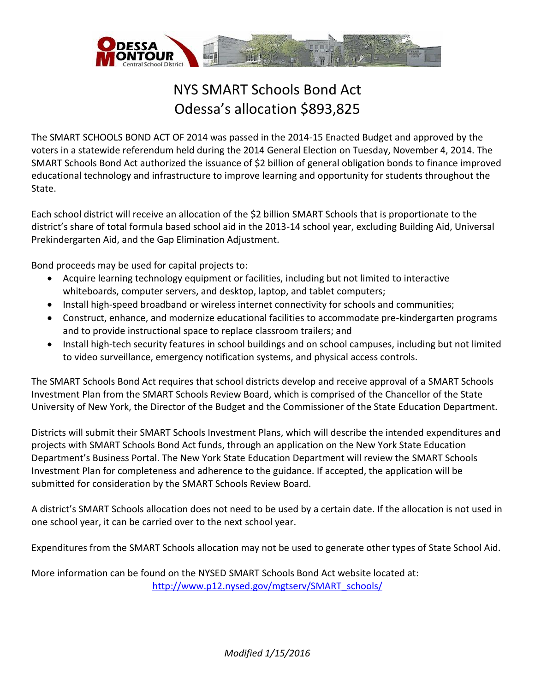

## NYS SMART Schools Bond Act Odessa's allocation \$893,825

The SMART SCHOOLS BOND ACT OF 2014 was passed in the 2014-15 Enacted Budget and approved by the voters in a statewide referendum held during the 2014 General Election on Tuesday, November 4, 2014. The SMART Schools Bond Act authorized the issuance of \$2 billion of general obligation bonds to finance improved educational technology and infrastructure to improve learning and opportunity for students throughout the State.

Each school district will receive an allocation of the \$2 billion SMART Schools that is proportionate to the district's share of total formula based school aid in the 2013-14 school year, excluding Building Aid, Universal Prekindergarten Aid, and the Gap Elimination Adjustment.

Bond proceeds may be used for capital projects to:

- Acquire learning technology equipment or facilities, including but not limited to interactive whiteboards, computer servers, and desktop, laptop, and tablet computers;
- Install high-speed broadband or wireless internet connectivity for schools and communities;
- Construct, enhance, and modernize educational facilities to accommodate pre-kindergarten programs and to provide instructional space to replace classroom trailers; and
- Install high-tech security features in school buildings and on school campuses, including but not limited to video surveillance, emergency notification systems, and physical access controls.

The SMART Schools Bond Act requires that school districts develop and receive approval of a SMART Schools Investment Plan from the SMART Schools Review Board, which is comprised of the Chancellor of the State University of New York, the Director of the Budget and the Commissioner of the State Education Department.

Districts will submit their SMART Schools Investment Plans, which will describe the intended expenditures and projects with SMART Schools Bond Act funds, through an application on the New York State Education Department's Business Portal. The New York State Education Department will review the SMART Schools Investment Plan for completeness and adherence to the guidance. If accepted, the application will be submitted for consideration by the SMART Schools Review Board.

A district's SMART Schools allocation does not need to be used by a certain date. If the allocation is not used in one school year, it can be carried over to the next school year.

Expenditures from the SMART Schools allocation may not be used to generate other types of State School Aid.

More information can be found on the NYSED SMART Schools Bond Act website located at: [http://www.p12.nysed.gov/mgtserv/SMART\\_schools/](http://www.p12.nysed.gov/mgtserv/smart_schools/)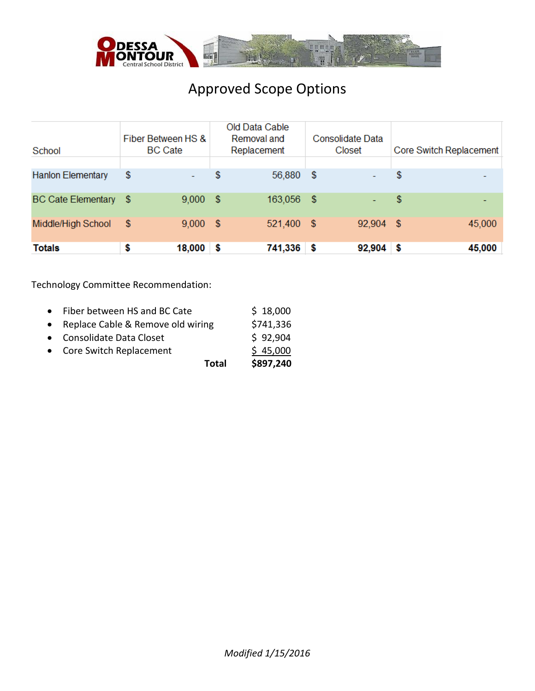

## Approved Scope Options

| School                    |     | Fiber Between HS &<br><b>BC</b> Cate |      | Old Data Cable<br>Removal and<br>Replacement |      | <b>Consolidate Data</b><br>Closet | Core Switch Replacement |
|---------------------------|-----|--------------------------------------|------|----------------------------------------------|------|-----------------------------------|-------------------------|
|                           |     |                                      |      |                                              |      |                                   |                         |
| <b>Hanlon Elementary</b>  | \$  |                                      | \$   | 56,880                                       | - \$ |                                   | \$                      |
| <b>BC Cate Elementary</b> | -S  | 9,000                                | - \$ | 163,056 \$                                   |      | $\sim$                            | \$                      |
| Middle/High School        | -\$ | $9,000$ \$                           |      | 521,400 \$                                   |      | 92,904 \$                         | 45,000                  |
| <b>Totals</b>             | \$  | 18,000                               | S    | 741,336 \$                                   |      | $92,904$ \$                       | 45,000                  |

## Technology Committee Recommendation:

| <b>Total</b>                        | \$897,240 |
|-------------------------------------|-----------|
| • Core Switch Replacement           | \$45,000  |
| • Consolidate Data Closet           | \$92,904  |
| • Replace Cable & Remove old wiring | \$741,336 |
| • Fiber between HS and BC Cate      | \$18,000  |